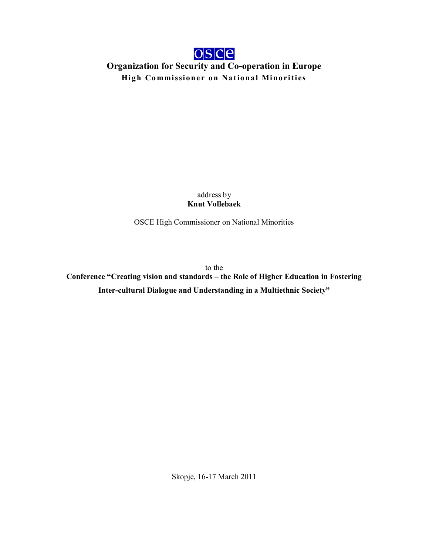

**Organization for Security and Co-operation in Europe High Commissioner on National Minorities** 

> address by **Knut Vollebaek**

OSCE High Commissioner on National Minorities

to the

**Conference "Creating vision and standards – the Role of Higher Education in Fostering Inter-cultural Dialogue and Understanding in a Multiethnic Society"**

Skopje, 16-17 March 2011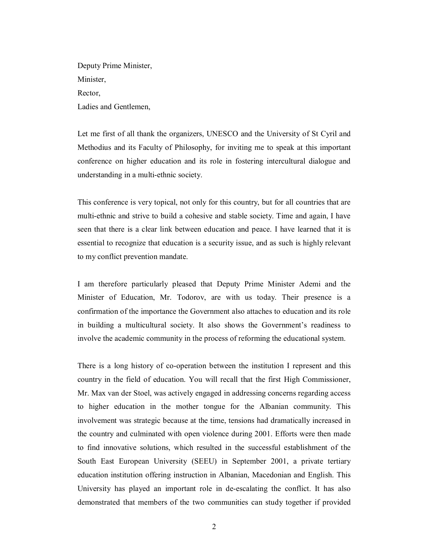Deputy Prime Minister, Minister, Rector, Ladies and Gentlemen,

Let me first of all thank the organizers, UNESCO and the University of St Cyril and Methodius and its Faculty of Philosophy, for inviting me to speak at this important conference on higher education and its role in fostering intercultural dialogue and understanding in a multi-ethnic society.

This conference is very topical, not only for this country, but for all countries that are multi-ethnic and strive to build a cohesive and stable society. Time and again, I have seen that there is a clear link between education and peace. I have learned that it is essential to recognize that education is a security issue, and as such is highly relevant to my conflict prevention mandate.

I am therefore particularly pleased that Deputy Prime Minister Ademi and the Minister of Education, Mr. Todorov, are with us today. Their presence is a confirmation of the importance the Government also attaches to education and its role in building a multicultural society. It also shows the Government's readiness to involve the academic community in the process of reforming the educational system.

There is a long history of co-operation between the institution I represent and this country in the field of education. You will recall that the first High Commissioner, Mr. Max van der Stoel, was actively engaged in addressing concerns regarding access to higher education in the mother tongue for the Albanian community. This involvement was strategic because at the time, tensions had dramatically increased in the country and culminated with open violence during 2001. Efforts were then made to find innovative solutions, which resulted in the successful establishment of the South East European University (SEEU) in September 2001, a private tertiary education institution offering instruction in Albanian, Macedonian and English. This University has played an important role in de-escalating the conflict. It has also demonstrated that members of the two communities can study together if provided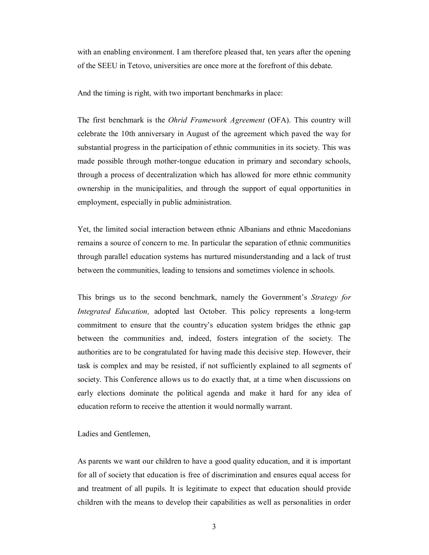with an enabling environment. I am therefore pleased that, ten years after the opening of the SEEU in Tetovo, universities are once more at the forefront of this debate.

And the timing is right, with two important benchmarks in place:

The first benchmark is the *Ohrid Framework Agreement* (OFA). This country will celebrate the 10th anniversary in August of the agreement which paved the way for substantial progress in the participation of ethnic communities in its society. This was made possible through mother-tongue education in primary and secondary schools, through a process of decentralization which has allowed for more ethnic community ownership in the municipalities, and through the support of equal opportunities in employment, especially in public administration.

Yet, the limited social interaction between ethnic Albanians and ethnic Macedonians remains a source of concern to me. In particular the separation of ethnic communities through parallel education systems has nurtured misunderstanding and a lack of trust between the communities, leading to tensions and sometimes violence in schools.

This brings us to the second benchmark, namely the Government's *Strategy for Integrated Education,* adopted last October. This policy represents a long-term commitment to ensure that the country's education system bridges the ethnic gap between the communities and, indeed, fosters integration of the society. The authorities are to be congratulated for having made this decisive step. However, their task is complex and may be resisted, if not sufficiently explained to all segments of society. This Conference allows us to do exactly that, at a time when discussions on early elections dominate the political agenda and make it hard for any idea of education reform to receive the attention it would normally warrant.

## Ladies and Gentlemen,

As parents we want our children to have a good quality education, and it is important for all of society that education is free of discrimination and ensures equal access for and treatment of all pupils. It is legitimate to expect that education should provide children with the means to develop their capabilities as well as personalities in order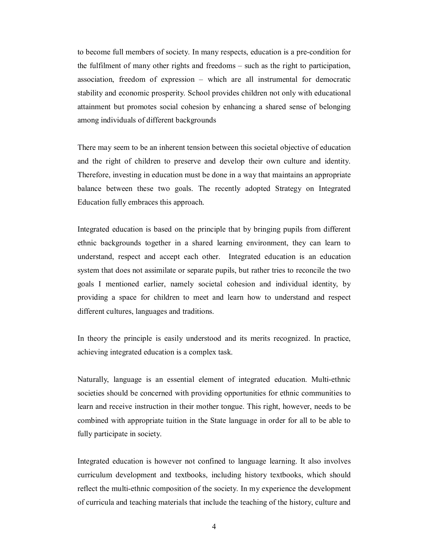to become full members of society. In many respects, education is a pre-condition for the fulfilment of many other rights and freedoms – such as the right to participation, association, freedom of expression – which are all instrumental for democratic stability and economic prosperity. School provides children not only with educational attainment but promotes social cohesion by enhancing a shared sense of belonging among individuals of different backgrounds

There may seem to be an inherent tension between this societal objective of education and the right of children to preserve and develop their own culture and identity. Therefore, investing in education must be done in a way that maintains an appropriate balance between these two goals. The recently adopted Strategy on Integrated Education fully embraces this approach.

Integrated education is based on the principle that by bringing pupils from different ethnic backgrounds together in a shared learning environment, they can learn to understand, respect and accept each other. Integrated education is an education system that does not assimilate or separate pupils, but rather tries to reconcile the two goals I mentioned earlier, namely societal cohesion and individual identity, by providing a space for children to meet and learn how to understand and respect different cultures, languages and traditions.

In theory the principle is easily understood and its merits recognized. In practice, achieving integrated education is a complex task.

Naturally, language is an essential element of integrated education. Multi-ethnic societies should be concerned with providing opportunities for ethnic communities to learn and receive instruction in their mother tongue. This right, however, needs to be combined with appropriate tuition in the State language in order for all to be able to fully participate in society.

Integrated education is however not confined to language learning. It also involves curriculum development and textbooks, including history textbooks, which should reflect the multi-ethnic composition of the society. In my experience the development of curricula and teaching materials that include the teaching of the history, culture and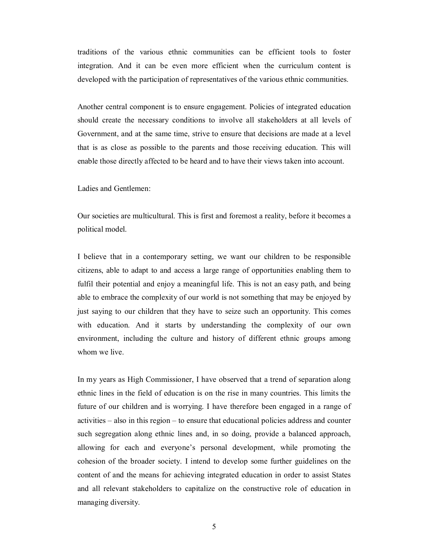traditions of the various ethnic communities can be efficient tools to foster integration. And it can be even more efficient when the curriculum content is developed with the participation of representatives of the various ethnic communities.

Another central component is to ensure engagement. Policies of integrated education should create the necessary conditions to involve all stakeholders at all levels of Government, and at the same time, strive to ensure that decisions are made at a level that is as close as possible to the parents and those receiving education. This will enable those directly affected to be heard and to have their views taken into account.

Ladies and Gentlemen:

Our societies are multicultural. This is first and foremost a reality, before it becomes a political model.

I believe that in a contemporary setting, we want our children to be responsible citizens, able to adapt to and access a large range of opportunities enabling them to fulfil their potential and enjoy a meaningful life. This is not an easy path, and being able to embrace the complexity of our world is not something that may be enjoyed by just saying to our children that they have to seize such an opportunity. This comes with education. And it starts by understanding the complexity of our own environment, including the culture and history of different ethnic groups among whom we live.

In my years as High Commissioner, I have observed that a trend of separation along ethnic lines in the field of education is on the rise in many countries. This limits the future of our children and is worrying. I have therefore been engaged in a range of activities – also in this region – to ensure that educational policies address and counter such segregation along ethnic lines and, in so doing, provide a balanced approach, allowing for each and everyone's personal development, while promoting the cohesion of the broader society. I intend to develop some further guidelines on the content of and the means for achieving integrated education in order to assist States and all relevant stakeholders to capitalize on the constructive role of education in managing diversity.